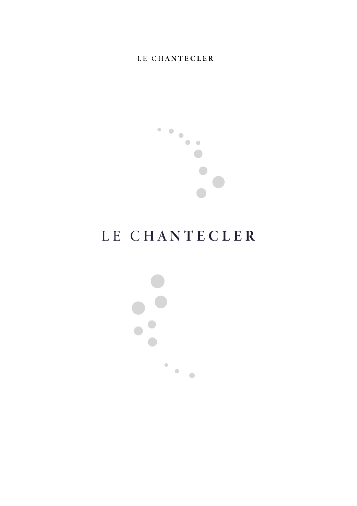

# LE CHANTECLER

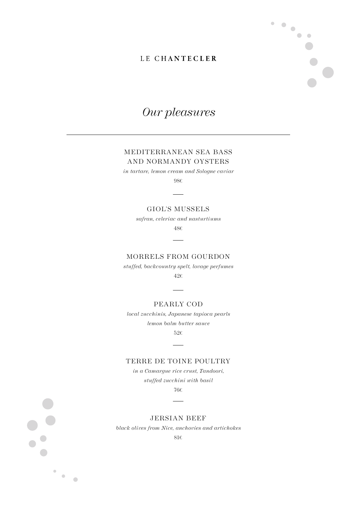$\blacksquare$  $\bullet$ 

 $\bullet$ 

 $\bullet\bullet$ 

## *Our pleasures*

### MEDITERRANEAN SEA BASS AND NORMANDY OYSTERS

*in tartare, lemon cream and Sologne caviar*

98€

#### GIOL'S MUSSELS

*safran, celeriac and nasturtiums*

48€

#### MORRELS FROM GOURDON

*stuffed, backcountry spelt, lovage perfumes*  42€

#### PEARLY COD

*local zucchinis, Japanese tapioca pearls lemon balm butter sauce*  52€

#### TERRE DE TOINE POULTRY

*in a Camargue rice crust, Tandoori, stuffed zucchini with basil* 

76€

#### JERSIAN BEEF

*black olives from Nice, anchovies and artichokes*

81€

 $\bullet$  $\bullet$ 

 $\begin{array}{c} \bullet \\ \bullet \end{array}$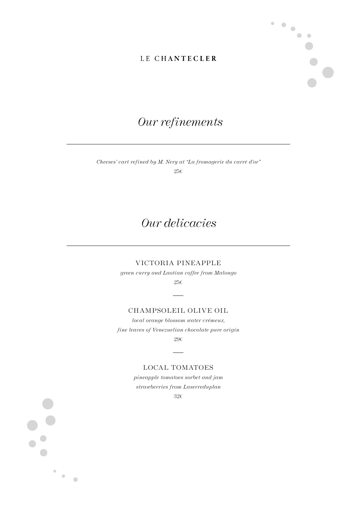$\bullet$  .  $\bullet$ 

 $\bullet$ 

 $\bullet\bullet$ 



*Cheeses' cart refined by M. Nery at "La fromagerie du carré d'or"*  $256$ 

## *Our delicacies*

#### VICTORIA PINEAPPLE

*green curry and Laotian coffee from Malongo*

 $25\epsilon$ 

#### CHAMPSOLEIL OLIVE OIL

*local orange blossom water crémeux, fine leaves of Venezuelian chocolate pure origin* 29€

LOCAL TOMATOES

*pineapple tomatoes sorbet and jam strawberries from Laserreduplan*

32€

 $\bullet$  $\bullet$ 

 $\begin{array}{c} \bullet \\ \bullet \end{array}$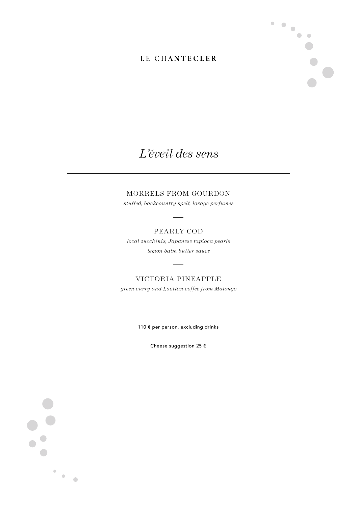$\ddot{\phantom{0}}$ 

 $\bullet\bullet$ 

## *L'éveil des sens*

### MORRELS FROM GOURDON

*stuffed, backcountry spelt, lovage perfumes* 

#### PEARLY COD

*local zucchinis, Japanese tapioca pearls lemon balm butter sauce* 

VICTORIA PINEAPPLE *green curry and Laotian coffee from Malongo*

110 € per person, excluding drinks

Cheese suggestion 25 €

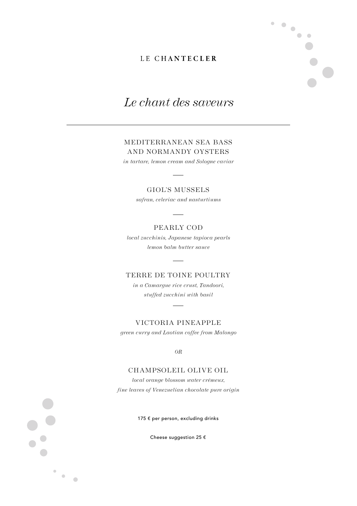$\blacksquare$  $\bullet$ 

 $\begin{array}{c} \bullet \\ \bullet \end{array}$ 

 $\bullet\bullet$ 

## *Le chant des saveurs*

### MEDITERRANEAN SEA BASS AND NORMANDY OYSTERS

*in tartare, lemon cream and Sologne caviar*

#### GIOL'S MUSSELS

*safran, celeriac and nasturtiums*

#### PEARLY COD

*local zucchinis, Japanese tapioca pearls lemon balm butter sauce* 

#### TERRE DE TOINE POULTRY

*in a Camargue rice crust, Tandoori, stuffed zucchini with basil* 

VICTORIA PINEAPPLE

*green curry and Laotian coffee from Malongo*

*OR*

### CHAMPSOLEIL OLIVE OIL

*local orange blossom water crémeux, fine leaves of Venezuelian chocolate pure origin*

175 € per person, excluding drinks

Cheese suggestion 25 €

 $\bullet$  $\bullet$ 

 $\begin{array}{ccc} \bullet & \bullet & \bullet \\ \bullet & \bullet & \bullet \end{array}$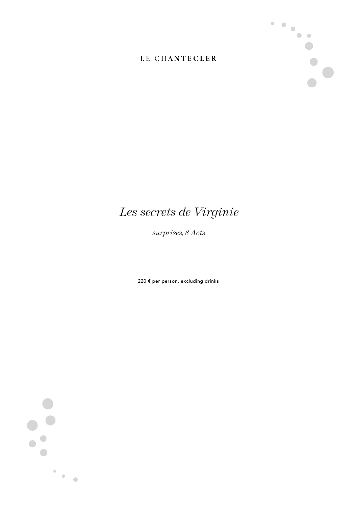

## *Les secrets de Virginie*

*surprises, 8 Acts*

220 € per person, excluding drinks

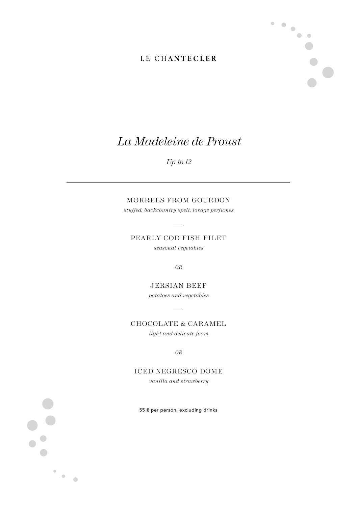$\ddot{\phantom{0}}$ 

 $\bullet\bullet$ 

## *La Madeleine de Proust*

*Up to 12*

### MORRELS FROM GOURDON

*stuffed, backcountry spelt, lovage perfumes* 

PEARLY COD FISH FILET

*seasonal vegetables*

*OR*

JERSIAN BEEF *potatoes and vegetables*

CHOCOLATE & CARAMEL

*light and delicate foam*

*OR*

### ICED NEGRESCO DOME

*vanilla and strawberry*

55 € per person, excluding drinks

 $\bullet$ 

 $\bullet$  .  $\bullet$  .

 $\bullet$